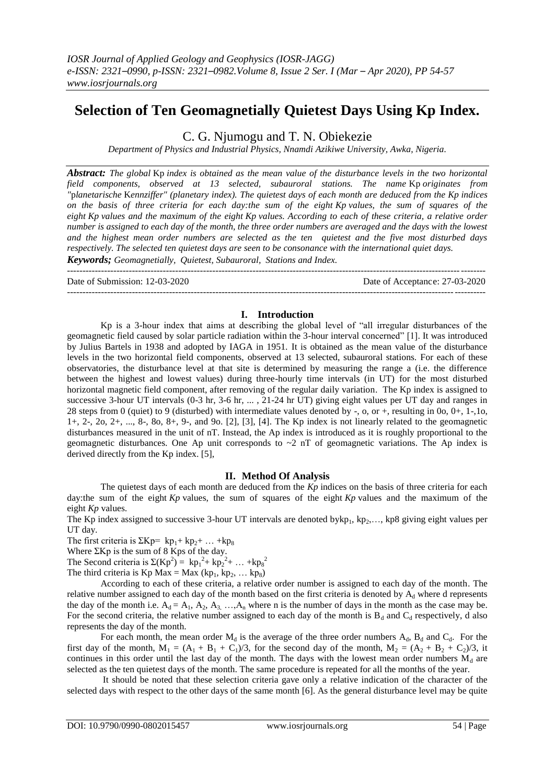# **Selection of Ten Geomagnetially Quietest Days Using Kp Index.**

C. G. Njumogu and T. N. Obiekezie

*Department of Physics and Industrial Physics, Nnamdi Azikiwe University, Awka, Nigeria.*

*Abstract: The global* Kp *index is obtained as the mean value of the disturbance levels in the two horizontal field components, observed at 13 selected, subauroral stations. The name* Kp *originates from "*p*lanetarische* K*ennziffer" (planetary index). The quietest days of each month are deduced from the Kp indices on the basis of three criteria for each day:the sum of the eight Kp values, the sum of squares of the eight Kp values and the maximum of the eight Kp values. According to each of these criteria, a relative order number is assigned to each day of the month, the three order numbers are averaged and the days with the lowest and the highest mean order numbers are selected as the ten quietest and the five most disturbed days respectively. The selected ten quietest days are seen to be consonance with the international quiet days.* 

*Keywords; Geomagnetially, Quietest, Subauroral, Stations and Index.* ---------------------------------------------------------------------------------------------------------------------------------------

Date of Submission: 12-03-2020 Date of Acceptance: 27-03-2020

## **I. Introduction**

---------------------------------------------------------------------------------------------------------------------------------------

Kp is a 3-hour index that aims at describing the global level of "all irregular disturbances of the geomagnetic field caused by solar particle radiation within the 3-hour interval concerned" [1]. It was introduced by Julius Bartels in 1938 and adopted by IAGA in 1951. It is obtained as the mean value of the disturbance levels in the two horizontal field components, observed at 13 selected, subauroral stations. For each of these observatories, the disturbance level at that site is determined by measuring the range a (i.e. the difference between the highest and lowest values) during three-hourly time intervals (in UT) for the most disturbed horizontal magnetic field component, after removing of the regular daily variation. The Kp index is assigned to successive 3-hour UT intervals (0-3 hr, 3-6 hr, ..., 21-24 hr UT) giving eight values per UT day and ranges in 28 steps from 0 (quiet) to 9 (disturbed) with intermediate values denoted by -, o, or +, resulting in 0o, 0+, 1-,1o, 1+, 2-, 2o, 2+, ..., 8-, 8o, 8+, 9-, and 9o. [2], [3], [4]. The Kp index is not linearly related to the geomagnetic disturbances measured in the unit of nT. Instead, the Ap index is introduced as it is roughly proportional to the geomagnetic disturbances. One Ap unit corresponds to  $\sim$ 2 nT of geomagnetic variations. The Ap index is derived directly from the Kp index. [5],

## **II. Method Of Analysis**

The quietest days of each month are deduced from the *Kp* indices on the basis of three criteria for each day:the sum of the eight *Kp* values, the sum of squares of the eight *Kp* values and the maximum of the eight *Kp* values.

The Kp index assigned to successive 3-hour UT intervals are denoted bykp<sub>1</sub>, kp<sub>2</sub>,..., kp8 giving eight values per UT day.

The first criteria is  $\Sigma Kp= kp_1+ kp_2+ ... +kp_8$ 

Where  $\Sigma$ Kp is the sum of 8 Kps of the day.

The Second criteria is  $\Sigma (Kp^2) = kp_1^2 + kp_2^2 + ... + kp_8^2$ 

The third criteria is  $Kp Max = Max (kp<sub>1</sub>, kp<sub>2</sub>, ... kp<sub>8</sub>)$ 

According to each of these criteria, a relative order number is assigned to each day of the month. The relative number assigned to each day of the month based on the first criteria is denoted by  $A_d$  where d represents the day of the month i.e.  $A_d = A_1, A_2, A_3, \ldots, A_n$  where n is the number of days in the month as the case may be. For the second criteria, the relative number assigned to each day of the month is  $B_d$  and  $C_d$  respectively, d also represents the day of the month.

For each month, the mean order  $M_d$  is the average of the three order numbers  $A_d$ ,  $B_d$  and  $C_d$ . For the first day of the month,  $M_1 = (A_1 + B_1 + C_1)/3$ , for the second day of the month,  $M_2 = (A_2 + B_2 + C_2)/3$ , it continues in this order until the last day of the month. The days with the lowest mean order numbers  $M_d$  are selected as the ten quietest days of the month. The same procedure is repeated for all the months of the year.

It should be noted that these selection criteria gave only a relative indication of the character of the selected days with respect to the other days of the same month [6]. As the general disturbance level may be quite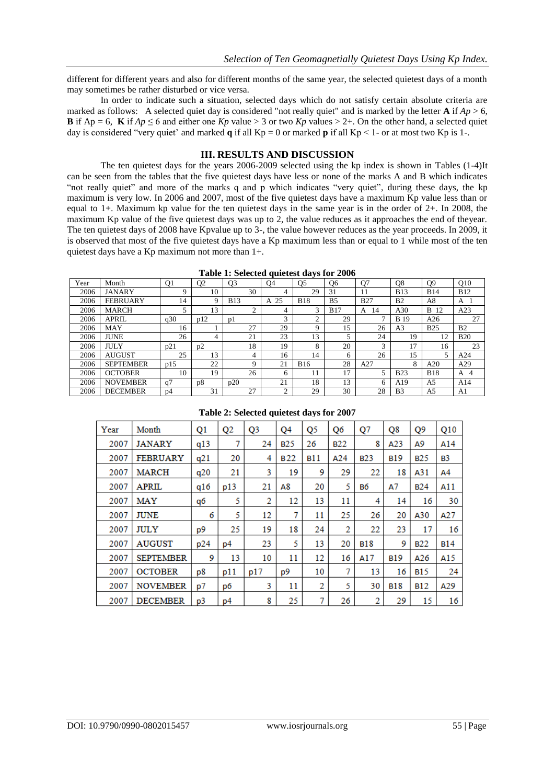different for different years and also for different months of the same year, the selected quietest days of a month may sometimes be rather disturbed or vice versa.

In order to indicate such a situation, selected days which do not satisfy certain absolute criteria are marked as follows: A selected quiet day is considered "not really quiet" and is marked by the letter **A** if  $Ap > 6$ , **B** if  $Ap = 6$ , **K** if  $Ap \le 6$  and either one  $Kp$  value > 3 or two  $Kp$  values > 2+. On the other hand, a selected quiet day is considered "very quiet" and marked **q** if all  $Kp = 0$  or marked **p** if all  $Kp \le 1$ - or at most two  $Kp$  is 1-.

#### **III. RESULTS AND DISCUSSION**

The ten quietest days for the years 2006-2009 selected using the kp index is shown in Tables (1-4)It can be seen from the tables that the five quietest days have less or none of the marks A and B which indicates "not really quiet" and more of the marks q and p which indicates "very quiet", during these days, the kp maximum is very low. In 2006 and 2007, most of the five quietest days have a maximum Kp value less than or equal to 1+. Maximum kp value for the ten quietest days in the same year is in the order of 2+. In 2008, the maximum Kp value of the five quietest days was up to 2, the value reduces as it approaches the end of theyear. The ten quietest days of 2008 have Kpvalue up to 3-, the value however reduces as the year proceeds. In 2009, it is observed that most of the five quietest days have a Kp maximum less than or equal to 1 while most of the ten quietest days have a Kp maximum not more than 1+.

| Year | Month            | O <sub>1</sub> | O <sub>2</sub> | O <sub>3</sub> | Q <sub>4</sub> | <b>O5</b>   | Q6             | O7         | Q8             | O <sub>9</sub> | O <sub>10</sub> |
|------|------------------|----------------|----------------|----------------|----------------|-------------|----------------|------------|----------------|----------------|-----------------|
| 2006 | <b>JANARY</b>    | 9              | 10             | 30             | 4              | 29          | 31             |            | <b>B13</b>     | <b>B14</b>     | <b>B12</b>      |
| 2006 | <b>FEBRUARY</b>  | 14             | 9              | <b>B13</b>     | 25<br>A        | <b>B18</b>  | B <sub>5</sub> | <b>B27</b> | B <sub>2</sub> | A8             | A               |
| 2006 | <b>MARCH</b>     | 5              | 13             | ◠              | 4              | 3           | <b>B17</b>     | 14<br>A    | A30            | B.<br>12       | A23             |
| 2006 | APRIL            | q30            | p12            | <sub>D</sub>   | 3              | ◠           | 29             | ⇁          | <b>B</b> 19    | A26            | 27              |
| 2006 | MAY              | 16             |                | 27             | 29             | $\mathbf Q$ | 15             | 26         | A <sub>3</sub> | <b>B25</b>     | B <sub>2</sub>  |
| 2006 | <b>JUNE</b>      | 26             | 4              | 21             | 23             | 13          | 5              | 24         | 19             | 12             | <b>B20</b>      |
| 2006 | <b>JULY</b>      | p21            | p2             | 18             | 19             | 8           | 20             | 3          | 17             | 16             | 23              |
| 2006 | <b>AUGUST</b>    | 25             | 13             | 4              | 16             | 14          | 6              | 26         | 15             | 5              | A24             |
| 2006 | <b>SEPTEMBER</b> | p15            | 22             | Q              | 21             | <b>B16</b>  | 28             | A27        | 8              | A20            | A29             |
| 2006 | <b>OCTOBER</b>   | 10             | 19             | 26             | 6              | 11          | 17             | 5          | <b>B23</b>     | <b>B18</b>     | 4<br>A          |
| 2006 | <b>NOVEMBER</b>  | a <sub>7</sub> | p <sub>8</sub> | p20            | 21             | 18          | 13             | 6          | A19            | A5             | A14             |
| 2006 | <b>DECEMBER</b>  | p4             | 31             | 27             | $\bigcap$      | 29          | 30             | 28         | B <sub>3</sub> | A <sub>5</sub> | A1              |

**Table 1: Selected quietest days for 2006**

| Year | Month            | Q <sub>1</sub> | Q <sub>2</sub> | Q <sub>3</sub> | Q <sub>4</sub> | Q <sub>5</sub> | Q6         | Q7         | Q8               | Q9         | Q10            |
|------|------------------|----------------|----------------|----------------|----------------|----------------|------------|------------|------------------|------------|----------------|
| 2007 | JANARY           | q13            | 7              | 24             | <b>B25</b>     | 26             | <b>B22</b> | 8          | A <sub>2</sub> 3 | А9         | A14            |
| 2007 | <b>FEBRUARY</b>  | q21            | 20             | 4              | <b>B22</b>     | <b>B11</b>     | A24        | <b>B23</b> | <b>B19</b>       | <b>B25</b> | B <sub>3</sub> |
| 2007 | <b>MARCH</b>     | q20            | 21             | 3              | 19             | 9              | 29         | 22         | 18               | A31        | A4             |
| 2007 | <b>APRIL</b>     | q16            | p13            | 21             | A8             | 20             | 5          | B6         | А7               | <b>B24</b> | A11            |
| 2007 | MAY              | qб             | 5              | 2              | 12             | 13             | 11         | 4          | 14               | 16         | 30             |
| 2007 | JUNE             | 6              | 5              | 12             | 7              | 11             | 25         | 26         | 20               | A30        | A27            |
| 2007 | JULY             | p9             | 25             | 19             | 18             | 24             | 2          | 22         | 23               | 17         | 16             |
| 2007 | AUGUST           | p24            | p4             | 23             | 5              | 13             | 20         | <b>B18</b> | 9                | <b>B22</b> | <b>B14</b>     |
| 2007 | <b>SEPTEMBER</b> | 9              | 13             | 10             | 11             | 12             | 16         | A17        | B <sub>19</sub>  | A26        | A15            |
| 2007 | <b>OCTOBER</b>   | p8             | p11            | p17            | р9             | 10             | 7          | 13         | 16               | <b>B15</b> | 24             |
| 2007 | <b>NOVEMBER</b>  | p7             | pб             | 3              | 11             | 2              | 5          | 30         | <b>B18</b>       | <b>B12</b> | A29            |
| 2007 | <b>DECEMBER</b>  | p3             | p4             | 8              | 25             | 7              | 26         | 2          | 29               | 15         | 16             |

#### **Table 2: Selected quietest days for 2007**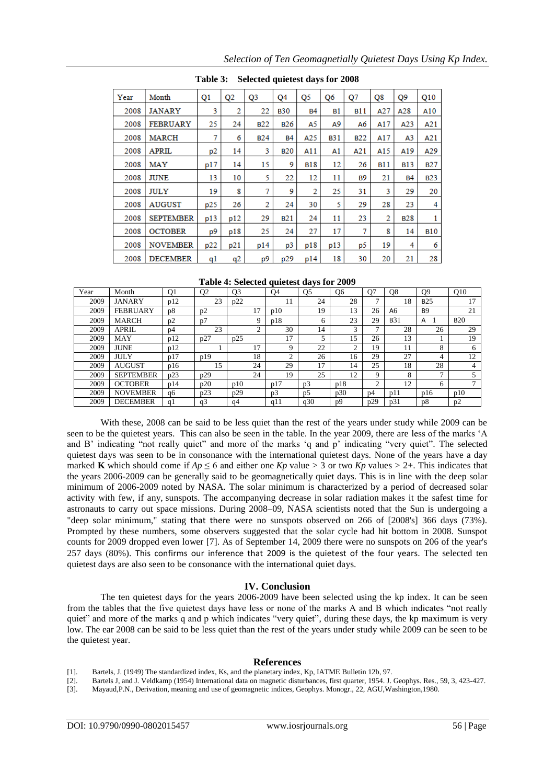| Selected quietest days for 2008<br>Table 3: |                  |                |                |                 |                 |            |            |            |            |                |            |  |
|---------------------------------------------|------------------|----------------|----------------|-----------------|-----------------|------------|------------|------------|------------|----------------|------------|--|
| Year                                        | Month            | Q <sub>1</sub> | Q <sub>2</sub> | Q <sub>3</sub>  | Q <sub>4</sub>  | Q5         | Q6         | Q7         | Q8         | Q9             | Q10        |  |
| 2008                                        | <b>JANARY</b>    | 3              | 2              | 22              | <b>B30</b>      | <b>B4</b>  | <b>B1</b>  | <b>B11</b> | A27        | A28            | A10        |  |
| 2008                                        | <b>FEBRUARY</b>  | 25             | 24             | B <sub>22</sub> | <b>B26</b>      | A5         | А9         | Aб         | A17        | A23            | A21        |  |
| 2008                                        | <b>MARCH</b>     | 7              | 6              | <b>B24</b>      | <b>B4</b>       | A25        | <b>B31</b> | <b>B22</b> | A17        | A <sup>3</sup> | A21        |  |
| 2008                                        | APRIL            | p2             | 14             | 3               | <b>B20</b>      | A11        | A1         | A21        | A15        | A19            | A29        |  |
| 2008                                        | <b>MAY</b>       | p17            | 14             | 15              | 9               | <b>B18</b> | 12         | 26         | <b>B11</b> | <b>B13</b>     | <b>B27</b> |  |
| 2008                                        | <b>JUNE</b>      | 13             | 10             | 5               | 22              | 12         | 11         | <b>B9</b>  | 21         | <b>B4</b>      | <b>B23</b> |  |
| 2008                                        | <b>JULY</b>      | 19             | 8              | 7               | 9               | 2          | 25         | 31         | 3          | 29             | 20         |  |
| 2008                                        | <b>AUGUST</b>    | p25            | 26             | 2               | 24              | 30         | 5          | 29         | 28         | 23             | 4          |  |
| 2008                                        | <b>SEPTEMBER</b> | p13            | p12            | 29              | B <sub>21</sub> | 24         | 11         | 23         | 2          | <b>B28</b>     | 1          |  |
| 2008                                        | <b>OCTOBER</b>   | p9             | p18            | 25              | 24              | 27         | 17         | 7          | 8          | 14             | <b>B10</b> |  |
| 2008                                        | <b>NOVEMBER</b>  | p22            | p21            | p14             | p3              | p18        | p13        | p5         | 19         | 4              | 6          |  |
| 2008                                        | <b>DECEMBER</b>  | q1             | q2             | p9              | p29             | p14        | 18         | 30         | 20         | 21             | 28         |  |

**Table 4: Selected quietest days for 2009**

| Year | Month            | Q <sub>1</sub> | Q <sub>2</sub> | Q <sub>3</sub> |          | O4             | Q <sub>5</sub> | Q <sub>6</sub> | O7             | Q <sub>8</sub> | O <sub>9</sub> | Q10        |
|------|------------------|----------------|----------------|----------------|----------|----------------|----------------|----------------|----------------|----------------|----------------|------------|
| 2009 | <b>JANARY</b>    | p12            | 23             | p22            |          | 11             | 24             | 28             | $\mathbf{r}$   | 18             | <b>B25</b>     | 17         |
| 2009 | <b>FEBRUARY</b>  | p8             | p2             |                | 17       | p10            | 19             | 13             | 26             | A6             | <b>B9</b>      | 21         |
| 2009 | <b>MARCH</b>     | p2             | p7             |                | 9        | p18            | 6              | 23             | 29             | <b>B31</b>     | Α              | <b>B20</b> |
| 2009 | <b>APRIL</b>     | p4             | 23             |                | $\Omega$ | 30             | 14             | 3              | $\mathcal{L}$  | 28             | 26             | 29         |
| 2009 | MAY              | p12            | p27            | p25            |          | 17             | 5              | 15             | 26             | 13             |                | 19         |
| 2009 | <b>JUNE</b>      | p12            |                |                | 17       | Q              | 22             | ◠              | 19             | 11             | 8              | 6          |
| 2009 | JULY             | p17            | p19            |                | 18       | $\sim$         | 26             | 16             | 29             | 27             | 4              | 12         |
| 2009 | <b>AUGUST</b>    | p16            | 15             |                | 24       | 29             | 17             | 14             | 25             | 18             | 28             | 4          |
| 2009 | <b>SEPTEMBER</b> | p23            | p29            |                | 24       | 19             | 25             | 12             | 9              | 8              | $\mathbf{r}$   |            |
| 2009 | <b>OCTOBER</b>   | p14            | p20            | p10            |          | p17            | p3             | p18            | $\mathcal{L}$  | 12             | 6              |            |
| 2009 | <b>NOVEMBER</b>  | q6             | p23            | p29            |          | p <sub>3</sub> | p5             | p30            | D <sup>4</sup> | p11            | p16            | p10        |
| 2009 | <b>DECEMBER</b>  | q1             | q <sub>3</sub> | q4             |          | a11            | q30            | D <sub>0</sub> | p29            | p31            | p8             | p2         |

With these, 2008 can be said to be less quiet than the rest of the years under study while 2009 can be seen to be the quietest years. This can also be seen in the table. In the year 2009, there are less of the marks "A and B" indicating "not really quiet" and more of the marks "q and p" indicating "very quiet". The selected quietest days was seen to be in consonance with the international quietest days. None of the years have a day marked **K** which should come if  $Ap \le 6$  and either one  $Kp$  value  $> 3$  or two  $Kp$  values  $> 2+$ . This indicates that the years 2006-2009 can be generally said to be geomagnetically quiet days. This is in line with the deep solar minimum of 2006-2009 noted by NASA. The solar minimum is characterized by a period of decreased solar activity with few, if any, [sunspots.](https://en.wikipedia.org/wiki/Sunspots) The accompanying decrease in [solar radiation](https://en.wikipedia.org/wiki/Solar_radiation) makes it the safest time for astronauts to carry out space missions. During 2008–09, NASA scientists noted that the Sun is undergoing a "deep solar minimum," stating that there were no sunspots observed on 266 of [2008's] 366 days (73%). Prompted by these numbers, some observers suggested that the solar cycle had hit bottom in 2008. Sunspot counts for 2009 dropped even lower [7]. As of September 14, 2009 there were no sunspots on 206 of the year's 257 days (80%). This confirms our inference that 2009 is the quietest of the four years. The selected ten quietest days are also seen to be consonance with the international quiet days.

# **IV. Conclusion**

The ten quietest days for the years 2006-2009 have been selected using the kp index. It can be seen from the tables that the five quietest days have less or none of the marks A and B which indicates "not really quiet" and more of the marks q and p which indicates "very quiet", during these days, the kp maximum is very low. The ear 2008 can be said to be less quiet than the rest of the years under study while 2009 can be seen to be the quietest year.

#### **References**

- [1]. Bartels, J. (1949) The standardized index, Ks, and the planetary index, Kp, IATME Bulletin 12b, 97.
- [2]. Bartels J, and J. Veldkamp (1954) International data on magnetic disturbances, first quarter, 1954. J. Geophys. Res., 59, 3, 423-427.
- [3]. Mayaud,P.N., Derivation, meaning and use of geomagnetic indices, Geophys. Monogr., 22, AGU,Washington,1980.